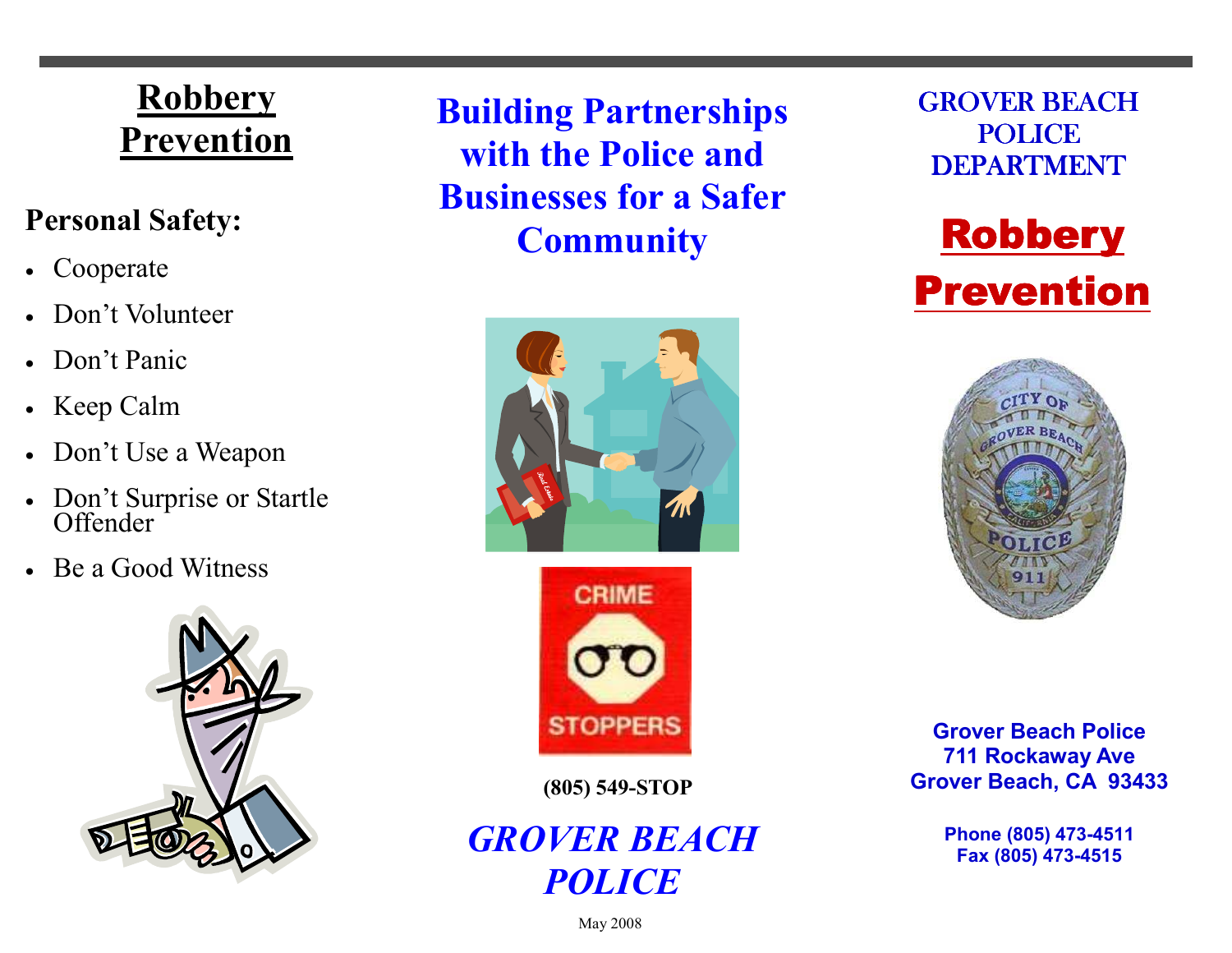# **Robbery** Prevention

### Personal Safety:

- Cooperate
- Don't Volunteer
- Don't Panic
- Keep Calm
- Don't Use a Weapon
- Don't Surprise or Startle<br>Offender
- Be a Good Witness



Building Partnerships with the Police and Businesses for a Safer **Community** 





(805) 549-STOP

## GROVER BEACH **POLICE**

GROVER BEACH POLICE **DEPARTMENT** 





Grover Beach Police 711 Rockaway Ave Grover Beach, CA 93433

> Phone (805) 473-4511 Fax (805) 473-4515

May 2008